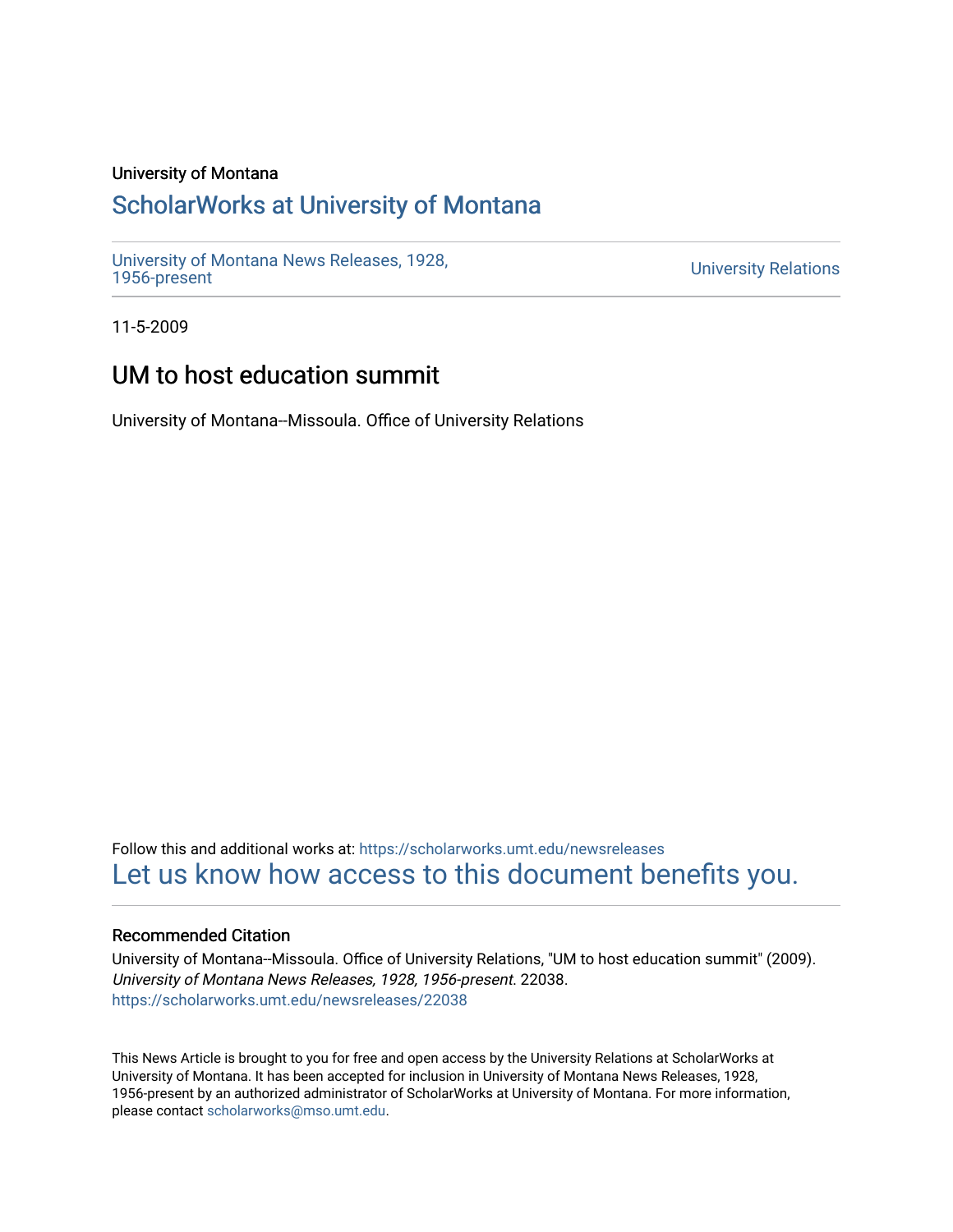#### University of Montana

### [ScholarWorks at University of Montana](https://scholarworks.umt.edu/)

[University of Montana News Releases, 1928,](https://scholarworks.umt.edu/newsreleases) 

**University Relations** 

11-5-2009

## UM to host education summit

University of Montana--Missoula. Office of University Relations

Follow this and additional works at: [https://scholarworks.umt.edu/newsreleases](https://scholarworks.umt.edu/newsreleases?utm_source=scholarworks.umt.edu%2Fnewsreleases%2F22038&utm_medium=PDF&utm_campaign=PDFCoverPages) [Let us know how access to this document benefits you.](https://goo.gl/forms/s2rGfXOLzz71qgsB2) 

#### Recommended Citation

University of Montana--Missoula. Office of University Relations, "UM to host education summit" (2009). University of Montana News Releases, 1928, 1956-present. 22038. [https://scholarworks.umt.edu/newsreleases/22038](https://scholarworks.umt.edu/newsreleases/22038?utm_source=scholarworks.umt.edu%2Fnewsreleases%2F22038&utm_medium=PDF&utm_campaign=PDFCoverPages) 

This News Article is brought to you for free and open access by the University Relations at ScholarWorks at University of Montana. It has been accepted for inclusion in University of Montana News Releases, 1928, 1956-present by an authorized administrator of ScholarWorks at University of Montana. For more information, please contact [scholarworks@mso.umt.edu.](mailto:scholarworks@mso.umt.edu)